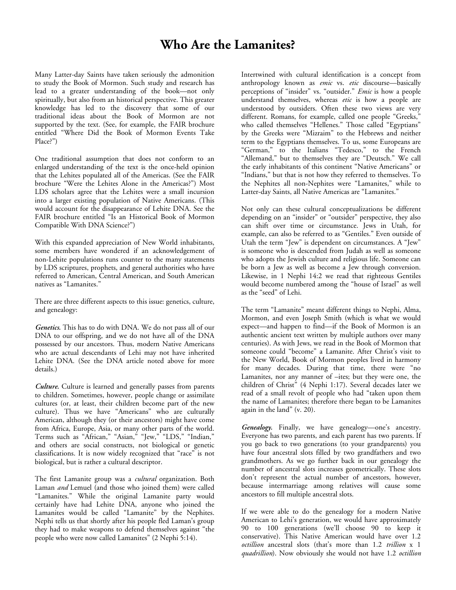## **Who Are the Lamanites?**

Many Latter-day Saints have taken seriously the admonition to study the Book of Mormon. Such study and research has lead to a greater understanding of the book—not only spiritually, but also from an historical perspective. This greater knowledge has led to the discovery that some of our traditional ideas about the Book of Mormon are not supported by the text. (See, for example, the FAIR brochure entitled "Where Did the Book of Mormon Events Take Place?")

One traditional assumption that does not conform to an enlarged understanding of the text is the once-held opinion that the Lehites populated all of the Americas. (See the FAIR brochure "Were the Lehites Alone in the Americas?") Most LDS scholars agree that the Lehites were a small incursion into a larger existing population of Native Americans. (This would account for the disappearance of Lehite DNA. See the FAIR brochure entitled "Is an Historical Book of Mormon Compatible With DNA Science?")

With this expanded appreciation of New World inhabitants, some members have wondered if an acknowledgement of non-Lehite populations runs counter to the many statements by LDS scriptures, prophets, and general authorities who have referred to American, Central American, and South American natives as "Lamanites."

There are three different aspects to this issue: genetics, culture, and genealogy:

*Genetics***.** This has to do with DNA. We do not pass all of our DNA to our offspring, and we do not have all of the DNA possessed by our ancestors. Thus, modern Native Americans who are actual descendants of Lehi may not have inherited Lehite DNA. (See the DNA article noted above for more details.)

*Culture***.** Culture is learned and generally passes from parents to children. Sometimes, however, people change or assimilate cultures (or, at least, their children become part of the new culture). Thus we have "Americans" who are culturally American, although they (or their ancestors) might have come from Africa, Europe, Asia, or many other parts of the world. Terms such as "African," "Asian," "Jew," "LDS," "Indian," and others are social constructs, not biological or genetic classifications. It is now widely recognized that "race" is not biological, but is rather a cultural descriptor.

The first Lamanite group was a *cultural* organization. Both Laman *and* Lemuel (and those who joined them) were called "Lamanites." While the original Lamanite party would certainly have had Lehite DNA, anyone who joined the Lamanites would be called "Lamanite" by the Nephites. Nephi tells us that shortly after his people fled Laman's group they had to make weapons to defend themselves against "the people who were now called Lamanites" (2 Nephi 5:14).

Intertwined with cultural identification is a concept from anthropology known as *emic* vs. *etic* discourse—basically perceptions of "insider" vs. "outsider." *Emic* is how a people understand themselves, whereas *etic* is how a people are understood by outsiders. Often these two views are very different. Romans, for example, called one people "Greeks," who called themselves "Hellenes." Those called "Egyptians" by the Greeks were "Mizraim" to the Hebrews and neither term to the Egyptians themselves. To us, some Europeans are "German," to the Italians "Tedesco," to the French "Allemand," but to themselves they are "Deutsch." We call the early inhabitants of this continent "Native Americans" or "Indians," but that is not how they referred to themselves. To the Nephites all non-Nephites were "Lamanites," while to Latter-day Saints, all Native Americas are "Lamanites."

Not only can these cultural conceptualizations be different depending on an "insider" or "outsider" perspective, they also can shift over time or circumstance. Jews in Utah, for example, can also be referred to as "Gentiles." Even outside of Utah the term "Jew" is dependent on circumstances. A "Jew" is someone who is descended from Judah as well as someone who adopts the Jewish culture and religious life. Someone can be born a Jew as well as become a Jew through conversion. Likewise, in 1 Nephi 14:2 we read that righteous Gentiles would become numbered among the "house of Israel" as well as the "seed" of Lehi.

The term "Lamanite" meant different things to Nephi, Alma, Mormon, and even Joseph Smith (which is what we would expect—and happen to find—if the Book of Mormon is an authentic ancient text written by multiple authors over many centuries). As with Jews, we read in the Book of Mormon that someone could "become" a Lamanite. After Christ's visit to the New World, Book of Mormon peoples lived in harmony for many decades. During that time, there were "no Lamanites, nor any manner of –ites; but they were one, the children of Christ" (4 Nephi 1:17). Several decades later we read of a small revolt of people who had "taken upon them the name of Lamanites; therefore there began to be Lamanites again in the land" (v. 20).

*Genealogy.* Finally, we have genealogy—one's ancestry. Everyone has two parents, and each parent has two parents. If you go back to two generations (to your grandparents) you have four ancestral slots filled by two grandfathers and two grandmothers. As we go further back in our genealogy the number of ancestral slots increases geometrically. These slots don't represent the actual number of ancestors, however, because intermarriage among relatives will cause some ancestors to fill multiple ancestral slots.

If we were able to do the genealogy for a modern Native American to Lehi's generation, we would have approximately 90 to 100 generations (we'll choose 90 to keep it conservative). This Native American would have over 1.2 *octillion* ancestral slots (that's more than 1.2 *trillion* x 1 *quadrillion*). Now obviously she would not have 1.2 *octillion*